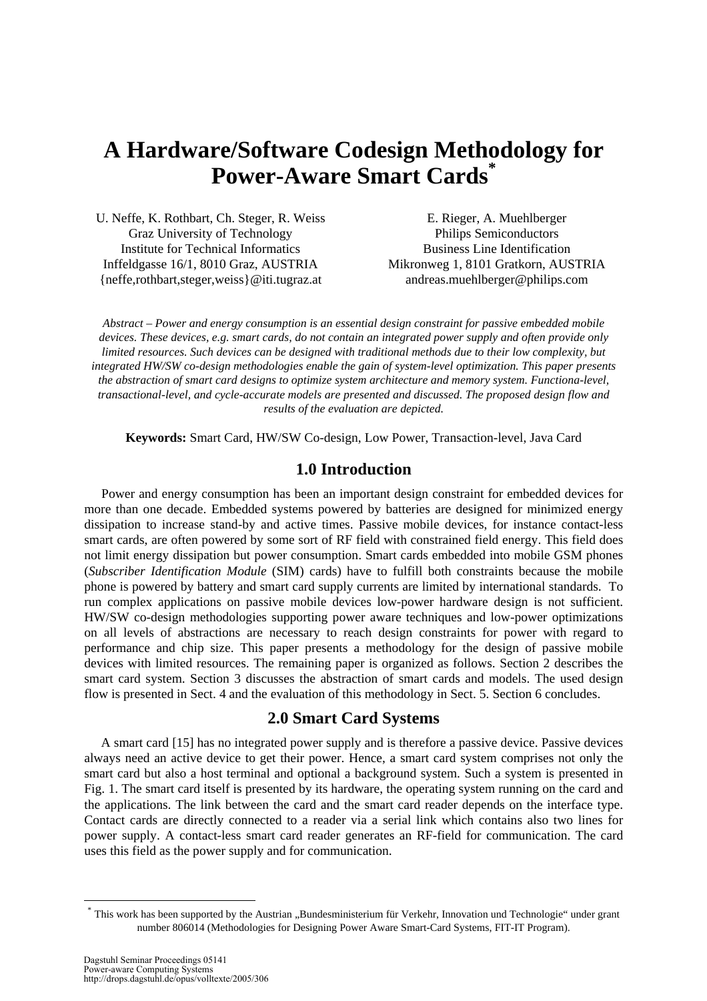# **A Hardware/Software Codesign Methodology for Power-Aware Smart Cards\***

U. Neffe, K. Rothbart, Ch. Steger, R. Weiss Graz University of Technology Institute for Technical Informatics Inffeldgasse 16/1, 8010 Graz, AUSTRIA {neffe,rothbart,steger,weiss}@iti.tugraz.at

E. Rieger, A. Muehlberger Philips Semiconductors Business Line Identification Mikronweg 1, 8101 Gratkorn, AUSTRIA andreas.muehlberger@philips.com

*Abstract – Power and energy consumption is an essential design constraint for passive embedded mobile devices. These devices, e.g. smart cards, do not contain an integrated power supply and often provide only limited resources. Such devices can be designed with traditional methods due to their low complexity, but integrated HW/SW co-design methodologies enable the gain of system-level optimization. This paper presents the abstraction of smart card designs to optimize system architecture and memory system. Functiona-level, transactional-level, and cycle-accurate models are presented and discussed. The proposed design flow and results of the evaluation are depicted.* 

**Keywords:** Smart Card, HW/SW Co-design, Low Power, Transaction-level, Java Card

# **1.0 Introduction**

Power and energy consumption has been an important design constraint for embedded devices for more than one decade. Embedded systems powered by batteries are designed for minimized energy dissipation to increase stand-by and active times. Passive mobile devices, for instance contact-less smart cards, are often powered by some sort of RF field with constrained field energy. This field does not limit energy dissipation but power consumption. Smart cards embedded into mobile GSM phones (*Subscriber Identification Module* (SIM) cards) have to fulfill both constraints because the mobile phone is powered by battery and smart card supply currents are limited by international standards. To run complex applications on passive mobile devices low-power hardware design is not sufficient. HW/SW co-design methodologies supporting power aware techniques and low-power optimizations on all levels of abstractions are necessary to reach design constraints for power with regard to performance and chip size. This paper presents a methodology for the design of passive mobile devices with limited resources. The remaining paper is organized as follows. Section 2 describes the smart card system. Section 3 discusses the abstraction of smart cards and models. The used design flow is presented in Sect. 4 and the evaluation of this methodology in Sect. 5. Section 6 concludes.

## **2.0 Smart Card Systems**

A smart card [15] has no integrated power supply and is therefore a passive device. Passive devices always need an active device to get their power. Hence, a smart card system comprises not only the smart card but also a host terminal and optional a background system. Such a system is presented in Fig. 1. The smart card itself is presented by its hardware, the operating system running on the card and the applications. The link between the card and the smart card reader depends on the interface type. Contact cards are directly connected to a reader via a serial link which contains also two lines for power supply. A contact-less smart card reader generates an RF-field for communication. The card uses this field as the power supply and for communication.

 $\overline{a}$ 

<sup>\*</sup> This work has been supported by the Austrian "Bundesministerium für Verkehr, Innovation und Technologie" under grant number 806014 (Methodologies for Designing Power Aware Smart-Card Systems, FIT-IT Program).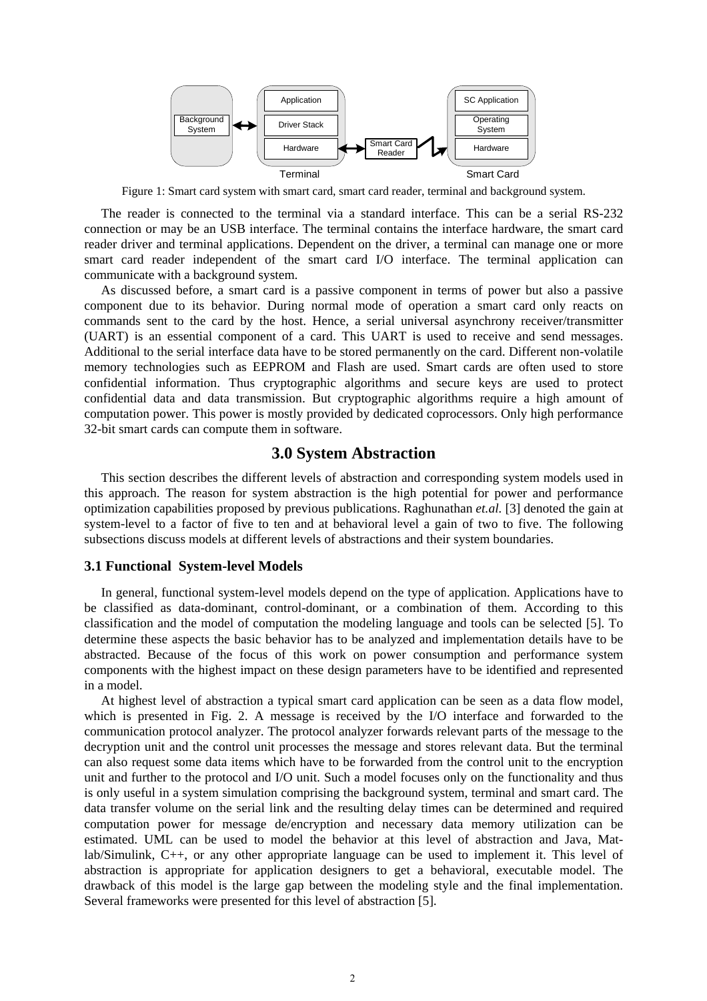

Figure 1: Smart card system with smart card, smart card reader, terminal and background system.

The reader is connected to the terminal via a standard interface. This can be a serial RS-232 connection or may be an USB interface. The terminal contains the interface hardware, the smart card reader driver and terminal applications. Dependent on the driver, a terminal can manage one or more smart card reader independent of the smart card I/O interface. The terminal application can communicate with a background system.

As discussed before, a smart card is a passive component in terms of power but also a passive component due to its behavior. During normal mode of operation a smart card only reacts on commands sent to the card by the host. Hence, a serial universal asynchrony receiver/transmitter (UART) is an essential component of a card. This UART is used to receive and send messages. Additional to the serial interface data have to be stored permanently on the card. Different non-volatile memory technologies such as EEPROM and Flash are used. Smart cards are often used to store confidential information. Thus cryptographic algorithms and secure keys are used to protect confidential data and data transmission. But cryptographic algorithms require a high amount of computation power. This power is mostly provided by dedicated coprocessors. Only high performance 32-bit smart cards can compute them in software.

## **3.0 System Abstraction**

This section describes the different levels of abstraction and corresponding system models used in this approach. The reason for system abstraction is the high potential for power and performance optimization capabilities proposed by previous publications. Raghunathan *et.al.* [3] denoted the gain at system-level to a factor of five to ten and at behavioral level a gain of two to five. The following subsections discuss models at different levels of abstractions and their system boundaries.

## **3.1 Functional System-level Models**

In general, functional system-level models depend on the type of application. Applications have to be classified as data-dominant, control-dominant, or a combination of them. According to this classification and the model of computation the modeling language and tools can be selected [5]. To determine these aspects the basic behavior has to be analyzed and implementation details have to be abstracted. Because of the focus of this work on power consumption and performance system components with the highest impact on these design parameters have to be identified and represented in a model.

At highest level of abstraction a typical smart card application can be seen as a data flow model, which is presented in Fig. 2. A message is received by the I/O interface and forwarded to the communication protocol analyzer. The protocol analyzer forwards relevant parts of the message to the decryption unit and the control unit processes the message and stores relevant data. But the terminal can also request some data items which have to be forwarded from the control unit to the encryption unit and further to the protocol and I/O unit. Such a model focuses only on the functionality and thus is only useful in a system simulation comprising the background system, terminal and smart card. The data transfer volume on the serial link and the resulting delay times can be determined and required computation power for message de/encryption and necessary data memory utilization can be estimated. UML can be used to model the behavior at this level of abstraction and Java, Matlab/Simulink, C++, or any other appropriate language can be used to implement it. This level of abstraction is appropriate for application designers to get a behavioral, executable model. The drawback of this model is the large gap between the modeling style and the final implementation. Several frameworks were presented for this level of abstraction [5].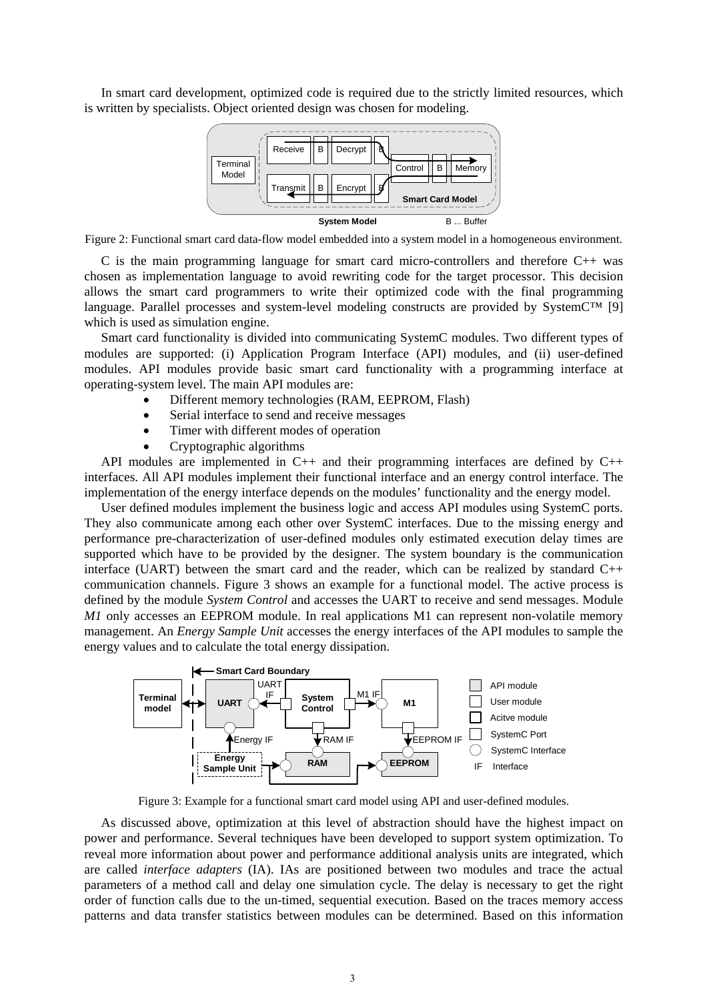In smart card development, optimized code is required due to the strictly limited resources, which is written by specialists. Object oriented design was chosen for modeling.



Figure 2: Functional smart card data-flow model embedded into a system model in a homogeneous environment.

C is the main programming language for smart card micro-controllers and therefore  $C_{++}$  was chosen as implementation language to avoid rewriting code for the target processor. This decision allows the smart card programmers to write their optimized code with the final programming language. Parallel processes and system-level modeling constructs are provided by SystemC™ [9] which is used as simulation engine.

Smart card functionality is divided into communicating SystemC modules. Two different types of modules are supported: (i) Application Program Interface (API) modules, and (ii) user-defined modules. API modules provide basic smart card functionality with a programming interface at operating-system level. The main API modules are:

- Different memory technologies (RAM, EEPROM, Flash)
- Serial interface to send and receive messages
- Timer with different modes of operation
- Cryptographic algorithms

API modules are implemented in  $C_{++}$  and their programming interfaces are defined by  $C_{++}$ interfaces. All API modules implement their functional interface and an energy control interface. The implementation of the energy interface depends on the modules' functionality and the energy model.

User defined modules implement the business logic and access API modules using SystemC ports. They also communicate among each other over SystemC interfaces. Due to the missing energy and performance pre-characterization of user-defined modules only estimated execution delay times are supported which have to be provided by the designer. The system boundary is the communication interface (UART) between the smart card and the reader, which can be realized by standard  $C_{++}$ communication channels. Figure 3 shows an example for a functional model. The active process is defined by the module *System Control* and accesses the UART to receive and send messages. Module *M1* only accesses an EEPROM module. In real applications M1 can represent non-volatile memory management. An *Energy Sample Unit* accesses the energy interfaces of the API modules to sample the energy values and to calculate the total energy dissipation.



Figure 3: Example for a functional smart card model using API and user-defined modules.

As discussed above, optimization at this level of abstraction should have the highest impact on power and performance. Several techniques have been developed to support system optimization. To reveal more information about power and performance additional analysis units are integrated, which are called *interface adapters* (IA). IAs are positioned between two modules and trace the actual parameters of a method call and delay one simulation cycle. The delay is necessary to get the right order of function calls due to the un-timed, sequential execution. Based on the traces memory access patterns and data transfer statistics between modules can be determined. Based on this information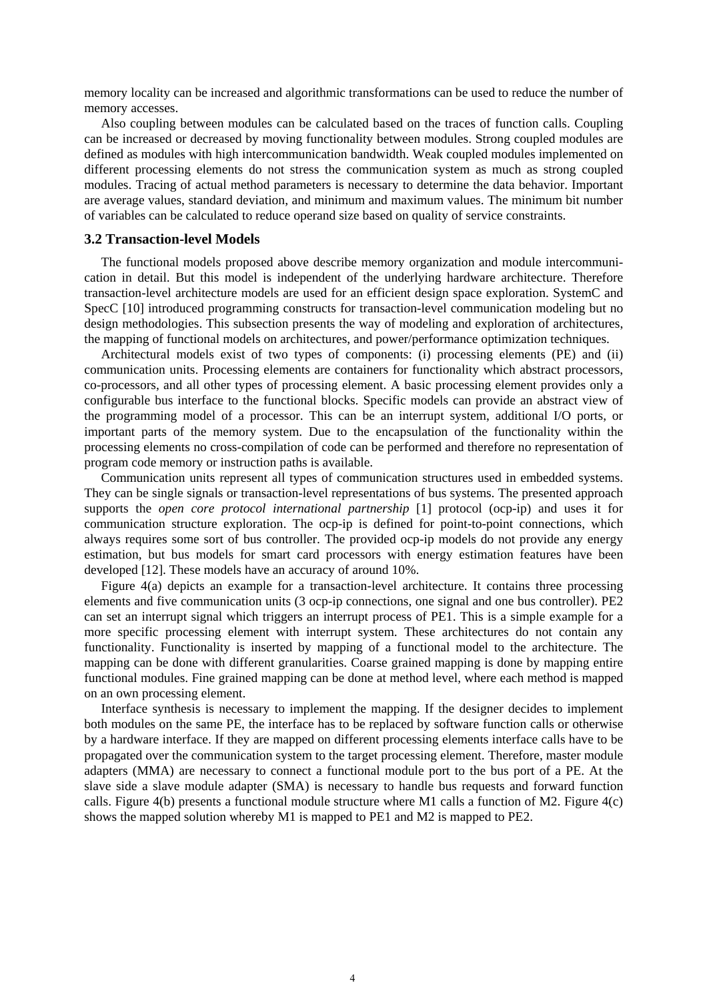memory locality can be increased and algorithmic transformations can be used to reduce the number of memory accesses.

Also coupling between modules can be calculated based on the traces of function calls. Coupling can be increased or decreased by moving functionality between modules. Strong coupled modules are defined as modules with high intercommunication bandwidth. Weak coupled modules implemented on different processing elements do not stress the communication system as much as strong coupled modules. Tracing of actual method parameters is necessary to determine the data behavior. Important are average values, standard deviation, and minimum and maximum values. The minimum bit number of variables can be calculated to reduce operand size based on quality of service constraints.

#### **3.2 Transaction-level Models**

The functional models proposed above describe memory organization and module intercommunication in detail. But this model is independent of the underlying hardware architecture. Therefore transaction-level architecture models are used for an efficient design space exploration. SystemC and SpecC [10] introduced programming constructs for transaction-level communication modeling but no design methodologies. This subsection presents the way of modeling and exploration of architectures, the mapping of functional models on architectures, and power/performance optimization techniques.

Architectural models exist of two types of components: (i) processing elements (PE) and (ii) communication units. Processing elements are containers for functionality which abstract processors, co-processors, and all other types of processing element. A basic processing element provides only a configurable bus interface to the functional blocks. Specific models can provide an abstract view of the programming model of a processor. This can be an interrupt system, additional I/O ports, or important parts of the memory system. Due to the encapsulation of the functionality within the processing elements no cross-compilation of code can be performed and therefore no representation of program code memory or instruction paths is available.

Communication units represent all types of communication structures used in embedded systems. They can be single signals or transaction-level representations of bus systems. The presented approach supports the *open core protocol international partnership* [1] protocol (ocp-ip) and uses it for communication structure exploration. The ocp-ip is defined for point-to-point connections, which always requires some sort of bus controller. The provided ocp-ip models do not provide any energy estimation, but bus models for smart card processors with energy estimation features have been developed [12]. These models have an accuracy of around 10%.

Figure 4(a) depicts an example for a transaction-level architecture. It contains three processing elements and five communication units (3 ocp-ip connections, one signal and one bus controller). PE2 can set an interrupt signal which triggers an interrupt process of PE1. This is a simple example for a more specific processing element with interrupt system. These architectures do not contain any functionality. Functionality is inserted by mapping of a functional model to the architecture. The mapping can be done with different granularities. Coarse grained mapping is done by mapping entire functional modules. Fine grained mapping can be done at method level, where each method is mapped on an own processing element.

Interface synthesis is necessary to implement the mapping. If the designer decides to implement both modules on the same PE, the interface has to be replaced by software function calls or otherwise by a hardware interface. If they are mapped on different processing elements interface calls have to be propagated over the communication system to the target processing element. Therefore, master module adapters (MMA) are necessary to connect a functional module port to the bus port of a PE. At the slave side a slave module adapter (SMA) is necessary to handle bus requests and forward function calls. Figure 4(b) presents a functional module structure where M1 calls a function of M2. Figure 4(c) shows the mapped solution whereby M1 is mapped to PE1 and M2 is mapped to PE2.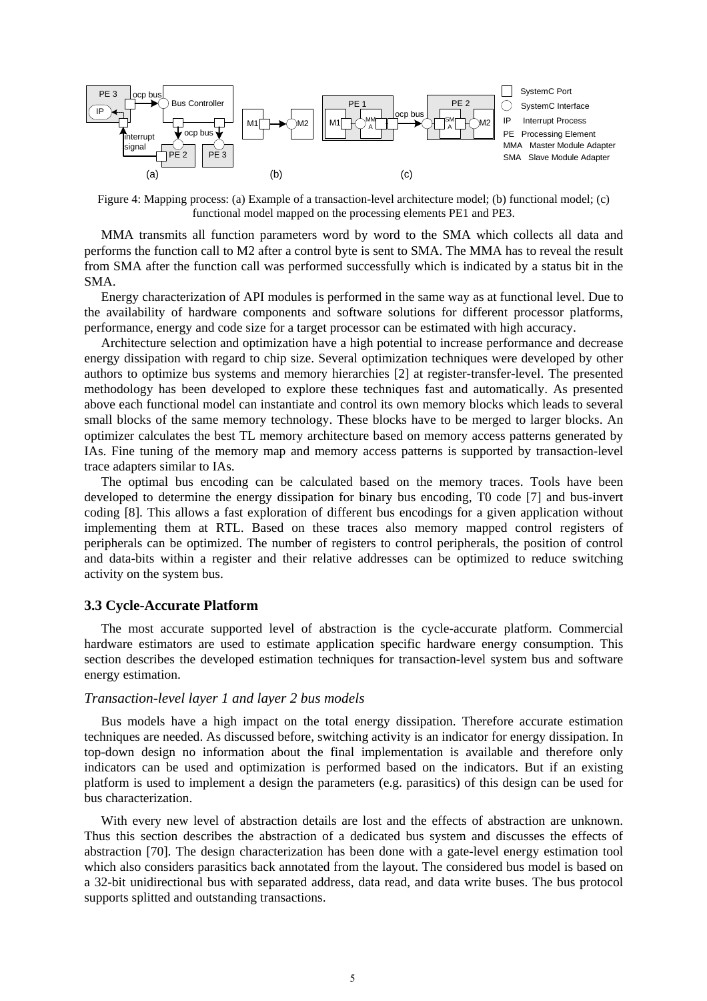

Figure 4: Mapping process: (a) Example of a transaction-level architecture model; (b) functional model; (c) functional model mapped on the processing elements PE1 and PE3.

MMA transmits all function parameters word by word to the SMA which collects all data and performs the function call to M2 after a control byte is sent to SMA. The MMA has to reveal the result from SMA after the function call was performed successfully which is indicated by a status bit in the SMA.

Energy characterization of API modules is performed in the same way as at functional level. Due to the availability of hardware components and software solutions for different processor platforms, performance, energy and code size for a target processor can be estimated with high accuracy.

Architecture selection and optimization have a high potential to increase performance and decrease energy dissipation with regard to chip size. Several optimization techniques were developed by other authors to optimize bus systems and memory hierarchies [2] at register-transfer-level. The presented methodology has been developed to explore these techniques fast and automatically. As presented above each functional model can instantiate and control its own memory blocks which leads to several small blocks of the same memory technology. These blocks have to be merged to larger blocks. An optimizer calculates the best TL memory architecture based on memory access patterns generated by IAs. Fine tuning of the memory map and memory access patterns is supported by transaction-level trace adapters similar to IAs.

The optimal bus encoding can be calculated based on the memory traces. Tools have been developed to determine the energy dissipation for binary bus encoding, T0 code [7] and bus-invert coding [8]. This allows a fast exploration of different bus encodings for a given application without implementing them at RTL. Based on these traces also memory mapped control registers of peripherals can be optimized. The number of registers to control peripherals, the position of control and data-bits within a register and their relative addresses can be optimized to reduce switching activity on the system bus.

#### **3.3 Cycle-Accurate Platform**

The most accurate supported level of abstraction is the cycle-accurate platform. Commercial hardware estimators are used to estimate application specific hardware energy consumption. This section describes the developed estimation techniques for transaction-level system bus and software energy estimation.

#### *Transaction-level layer 1 and layer 2 bus models*

Bus models have a high impact on the total energy dissipation. Therefore accurate estimation techniques are needed. As discussed before, switching activity is an indicator for energy dissipation. In top-down design no information about the final implementation is available and therefore only indicators can be used and optimization is performed based on the indicators. But if an existing platform is used to implement a design the parameters (e.g. parasitics) of this design can be used for bus characterization.

With every new level of abstraction details are lost and the effects of abstraction are unknown. Thus this section describes the abstraction of a dedicated bus system and discusses the effects of abstraction [70]. The design characterization has been done with a gate-level energy estimation tool which also considers parasitics back annotated from the layout. The considered bus model is based on a 32-bit unidirectional bus with separated address, data read, and data write buses. The bus protocol supports splitted and outstanding transactions.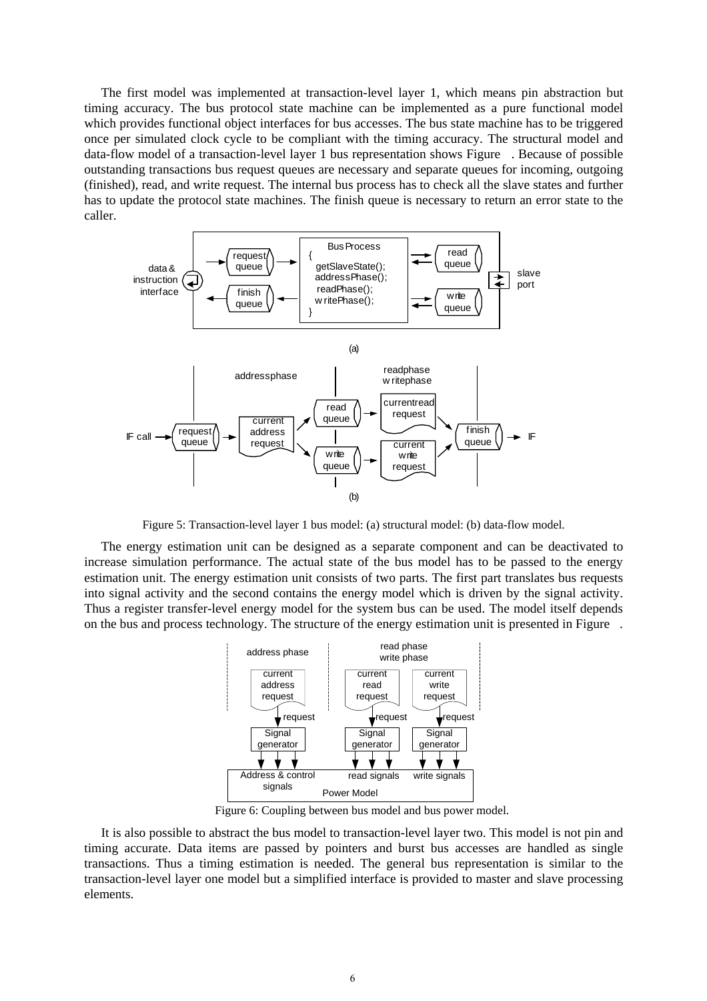The first model was implemented at transaction-level layer 1, which means pin abstraction but timing accuracy. The bus protocol state machine can be implemented as a pure functional model which provides functional object interfaces for bus accesses. The bus state machine has to be triggered once per simulated clock cycle to be compliant with the timing accuracy. The structural model and data-flow model of a transaction-level layer 1 bus representation shows Figure . Because of possible outstanding transactions bus request queues are necessary and separate queues for incoming, outgoing (finished), read, and write request. The internal bus process has to check all the slave states and further has to update the protocol state machines. The finish queue is necessary to return an error state to the caller.



Figure 5: Transaction-level layer 1 bus model: (a) structural model: (b) data-flow model.

The energy estimation unit can be designed as a separate component and can be deactivated to increase simulation performance. The actual state of the bus model has to be passed to the energy estimation unit. The energy estimation unit consists of two parts. The first part translates bus requests into signal activity and the second contains the energy model which is driven by the signal activity. Thus a register transfer-level energy model for the system bus can be used. The model itself depends on the bus and process technology. The structure of the energy estimation unit is presented in Figure .



Figure 6: Coupling between bus model and bus power model.

It is also possible to abstract the bus model to transaction-level layer two. This model is not pin and timing accurate. Data items are passed by pointers and burst bus accesses are handled as single transactions. Thus a timing estimation is needed. The general bus representation is similar to the transaction-level layer one model but a simplified interface is provided to master and slave processing elements.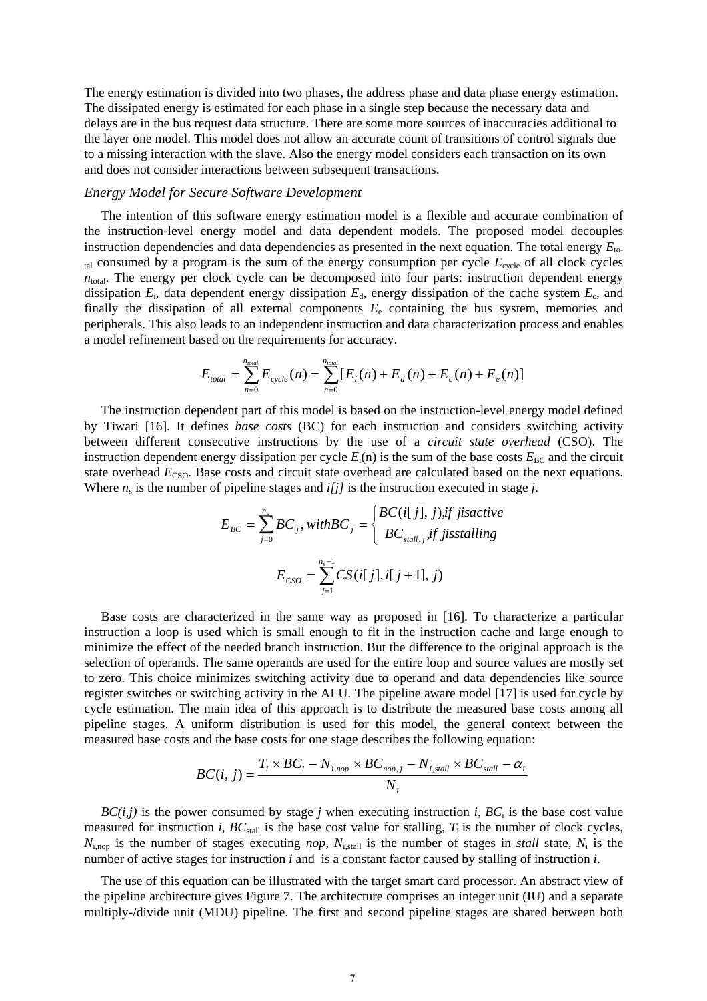The energy estimation is divided into two phases, the address phase and data phase energy estimation. The dissipated energy is estimated for each phase in a single step because the necessary data and delays are in the bus request data structure. There are some more sources of inaccuracies additional to the layer one model. This model does not allow an accurate count of transitions of control signals due to a missing interaction with the slave. Also the energy model considers each transaction on its own and does not consider interactions between subsequent transactions.

#### *Energy Model for Secure Software Development*

The intention of this software energy estimation model is a flexible and accurate combination of the instruction-level energy model and data dependent models. The proposed model decouples instruction dependencies and data dependencies as presented in the next equation. The total energy *E*total consumed by a program is the sum of the energy consumption per cycle *E*cycle of all clock cycles  $n_{\text{total}}$ . The energy per clock cycle can be decomposed into four parts: instruction dependent energy dissipation *E*i, data dependent energy dissipation *E*d, energy dissipation of the cache system *E*c, and finally the dissipation of all external components  $E<sub>e</sub>$  containing the bus system, memories and peripherals. This also leads to an independent instruction and data characterization process and enables a model refinement based on the requirements for accuracy.

$$
E_{\text{total}} = \sum_{n=0}^{n_{\text{total}}} E_{\text{cycle}}(n) = \sum_{n=0}^{n_{\text{total}}} [E_{i}(n) + E_{d}(n) + E_{c}(n) + E_{e}(n)]
$$

The instruction dependent part of this model is based on the instruction-level energy model defined by Tiwari [16]. It defines *base costs* (BC) for each instruction and considers switching activity between different consecutive instructions by the use of a *circuit state overhead* (CSO). The instruction dependent energy dissipation per cycle  $E_i(n)$  is the sum of the base costs  $E_{BC}$  and the circuit state overhead  $E_{\text{CSO}}$ . Base costs and circuit state overhead are calculated based on the next equations. Where  $n_s$  is the number of pipeline stages and  $i/jj$  is the instruction executed in stage *j*.

$$
E_{BC} = \sum_{j=0}^{n_s} BC_j, with BC_j = \begin{cases} BC(i[j], j), if \text{ } j is active \\ BC_{stall,j}, if \text{ } j is stalling \end{cases}
$$

$$
E_{CSO} = \sum_{j=1}^{n_s-1} CS(i[j], i[j+1], j)
$$

Base costs are characterized in the same way as proposed in [16]. To characterize a particular instruction a loop is used which is small enough to fit in the instruction cache and large enough to minimize the effect of the needed branch instruction. But the difference to the original approach is the selection of operands. The same operands are used for the entire loop and source values are mostly set to zero. This choice minimizes switching activity due to operand and data dependencies like source register switches or switching activity in the ALU. The pipeline aware model [17] is used for cycle by cycle estimation. The main idea of this approach is to distribute the measured base costs among all pipeline stages. A uniform distribution is used for this model, the general context between the measured base costs and the base costs for one stage describes the following equation:

$$
BC(i, j) = \frac{T_i \times BC_i - N_{i, \text{nop}} \times BC_{\text{nop}, j} - N_{i, \text{stall}} \times BC_{\text{stall}} - \alpha_i}{N_i}
$$

 $BC(i,j)$  is the power consumed by stage *j* when executing instruction *i*,  $BC_i$  is the base cost value measured for instruction *i*,  $BC_{\text{stall}}$  is the base cost value for stalling,  $T_i$  is the number of clock cycles,  $N_{i,\text{nop}}$  is the number of stages executing *nop*,  $N_{i,\text{stall}}$  is the number of stages in *stall* state,  $N_i$  is the number of active stages for instruction *i* and is a constant factor caused by stalling of instruction *i*.

The use of this equation can be illustrated with the target smart card processor. An abstract view of the pipeline architecture gives Figure 7. The architecture comprises an integer unit (IU) and a separate multiply-/divide unit (MDU) pipeline. The first and second pipeline stages are shared between both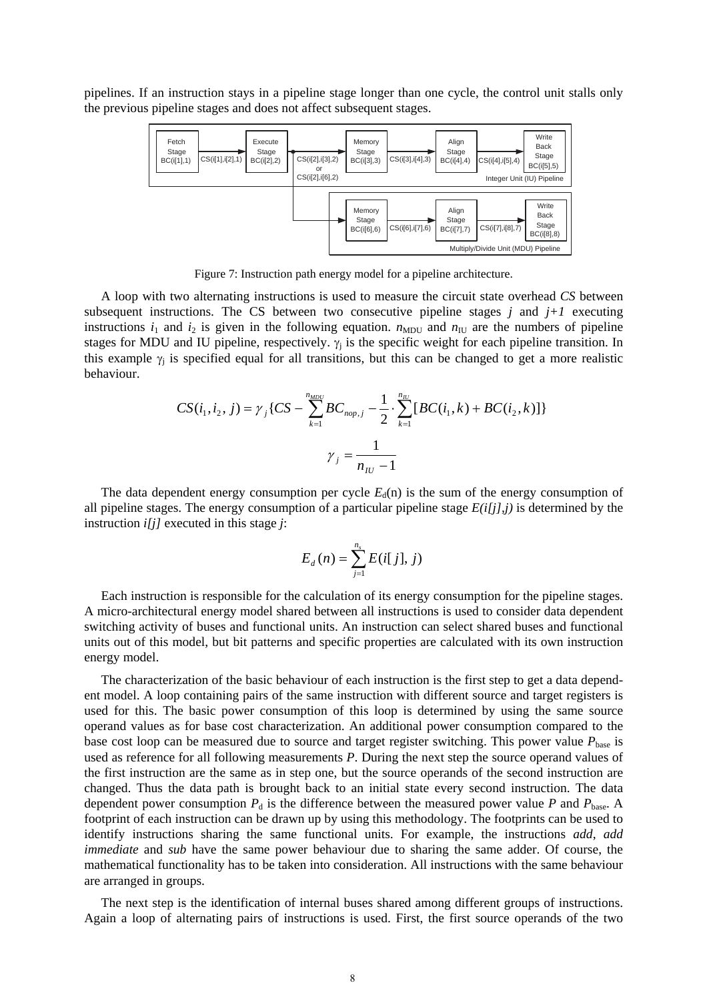pipelines. If an instruction stays in a pipeline stage longer than one cycle, the control unit stalls only the previous pipeline stages and does not affect subsequent stages.



Figure 7: Instruction path energy model for a pipeline architecture.

A loop with two alternating instructions is used to measure the circuit state overhead *CS* between subsequent instructions. The CS between two consecutive pipeline stages  $j$  and  $j+1$  executing instructions  $i_1$  and  $i_2$  is given in the following equation.  $n_{MDU}$  and  $n_{IU}$  are the numbers of pipeline stages for MDU and IU pipeline, respectively.  $\gamma_i$  is the specific weight for each pipeline transition. In this example  $\gamma_i$  is specified equal for all transitions, but this can be changed to get a more realistic behaviour.

$$
CS(i_1, i_2, j) = \gamma_j \{ CS - \sum_{k=1}^{n_{MDC}} BC_{nop, j} - \frac{1}{2} \cdot \sum_{k=1}^{n_{IU}} [BC(i_1, k) + BC(i_2, k)] \}
$$

$$
\gamma_j = \frac{1}{n_{IU} - 1}
$$

The data dependent energy consumption per cycle  $E_d(n)$  is the sum of the energy consumption of all pipeline stages. The energy consumption of a particular pipeline stage  $E(i|j],j)$  is determined by the instruction *i[j]* executed in this stage *j*:

$$
E_d(n) = \sum_{j=1}^{n_s} E(i[j], j)
$$

Each instruction is responsible for the calculation of its energy consumption for the pipeline stages. A micro-architectural energy model shared between all instructions is used to consider data dependent switching activity of buses and functional units. An instruction can select shared buses and functional units out of this model, but bit patterns and specific properties are calculated with its own instruction energy model.

The characterization of the basic behaviour of each instruction is the first step to get a data dependent model. A loop containing pairs of the same instruction with different source and target registers is used for this. The basic power consumption of this loop is determined by using the same source operand values as for base cost characterization. An additional power consumption compared to the base cost loop can be measured due to source and target register switching. This power value  $P_{base}$  is used as reference for all following measurements *P*. During the next step the source operand values of the first instruction are the same as in step one, but the source operands of the second instruction are changed. Thus the data path is brought back to an initial state every second instruction. The data dependent power consumption  $P_d$  is the difference between the measured power value P and  $P_{\text{base}}$ . footprint of each instruction can be drawn up by using this methodology. The footprints can be used to identify instructions sharing the same functional units. For example, the instructions *add*, *add immediate* and *sub* have the same power behaviour due to sharing the same adder. Of course, the mathematical functionality has to be taken into consideration. All instructions with the same behaviour are arranged in groups.

The next step is the identification of internal buses shared among different groups of instructions. Again a loop of alternating pairs of instructions is used. First, the first source operands of the two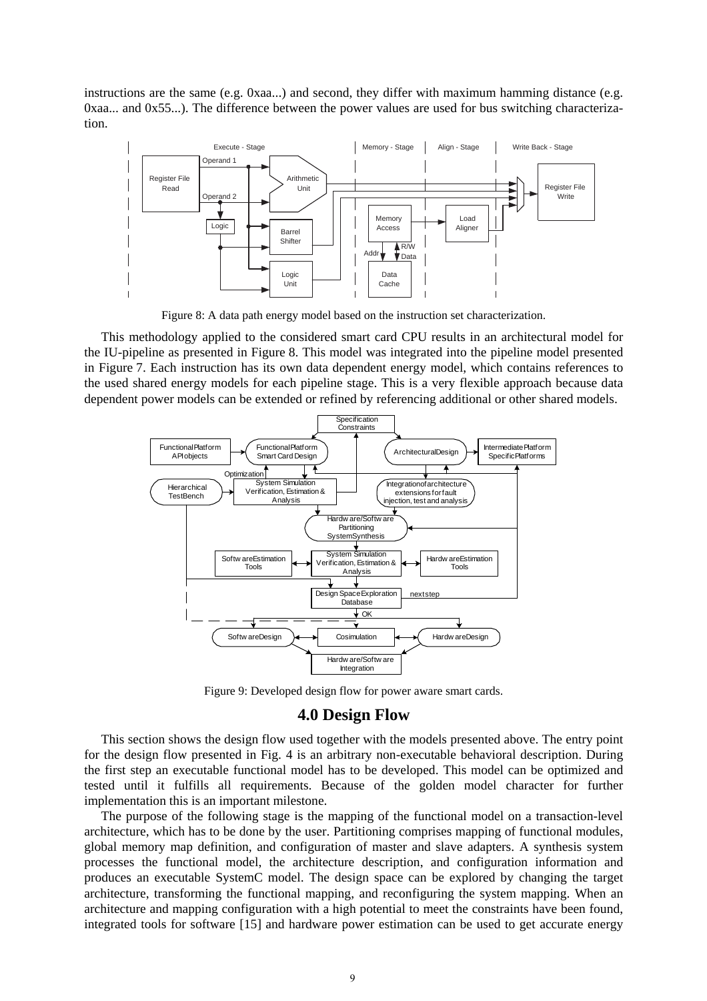instructions are the same (e.g. 0xaa...) and second, they differ with maximum hamming distance (e.g. 0xaa... and 0x55...). The difference between the power values are used for bus switching characterization.



Figure 8: A data path energy model based on the instruction set characterization.

This methodology applied to the considered smart card CPU results in an architectural model for the IU-pipeline as presented in Figure 8. This model was integrated into the pipeline model presented in Figure 7. Each instruction has its own data dependent energy model, which contains references to the used shared energy models for each pipeline stage. This is a very flexible approach because data dependent power models can be extended or refined by referencing additional or other shared models.



Figure 9: Developed design flow for power aware smart cards.

## **4.0 Design Flow**

This section shows the design flow used together with the models presented above. The entry point for the design flow presented in Fig. 4 is an arbitrary non-executable behavioral description. During the first step an executable functional model has to be developed. This model can be optimized and tested until it fulfills all requirements. Because of the golden model character for further implementation this is an important milestone.

The purpose of the following stage is the mapping of the functional model on a transaction-level architecture, which has to be done by the user. Partitioning comprises mapping of functional modules, global memory map definition, and configuration of master and slave adapters. A synthesis system processes the functional model, the architecture description, and configuration information and produces an executable SystemC model. The design space can be explored by changing the target architecture, transforming the functional mapping, and reconfiguring the system mapping. When an architecture and mapping configuration with a high potential to meet the constraints have been found, integrated tools for software [15] and hardware power estimation can be used to get accurate energy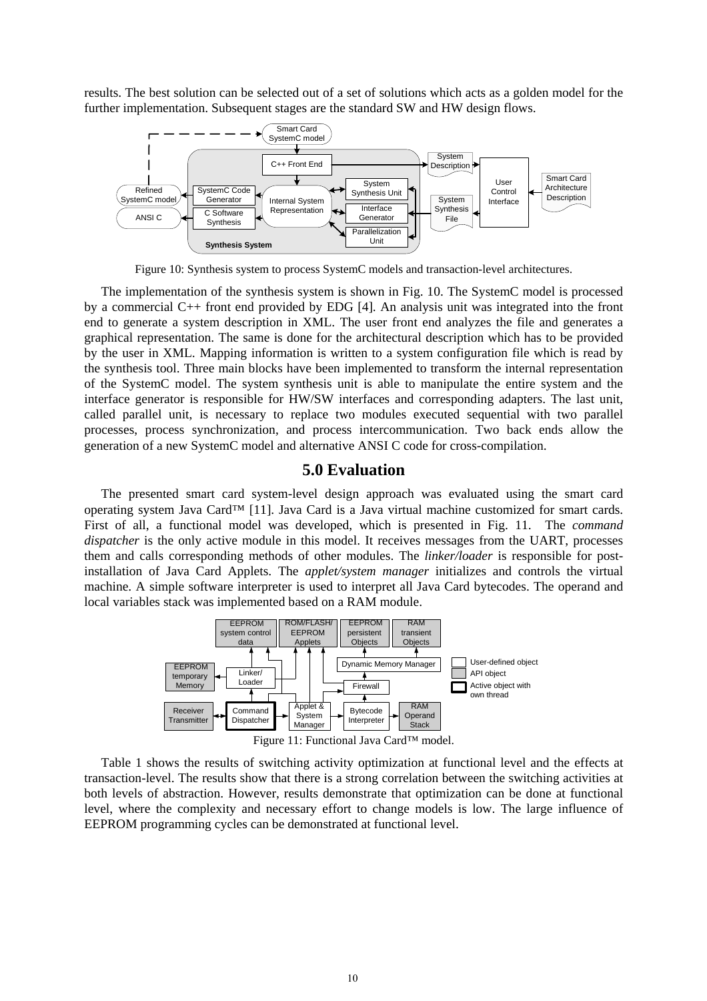results. The best solution can be selected out of a set of solutions which acts as a golden model for the further implementation. Subsequent stages are the standard SW and HW design flows.



Figure 10: Synthesis system to process SystemC models and transaction-level architectures.

The implementation of the synthesis system is shown in Fig. 10. The SystemC model is processed by a commercial C++ front end provided by EDG [4]. An analysis unit was integrated into the front end to generate a system description in XML. The user front end analyzes the file and generates a graphical representation. The same is done for the architectural description which has to be provided by the user in XML. Mapping information is written to a system configuration file which is read by the synthesis tool. Three main blocks have been implemented to transform the internal representation of the SystemC model. The system synthesis unit is able to manipulate the entire system and the interface generator is responsible for HW/SW interfaces and corresponding adapters. The last unit, called parallel unit, is necessary to replace two modules executed sequential with two parallel processes, process synchronization, and process intercommunication. Two back ends allow the generation of a new SystemC model and alternative ANSI C code for cross-compilation.

## **5.0 Evaluation**

The presented smart card system-level design approach was evaluated using the smart card operating system Java Card™ [11]. Java Card is a Java virtual machine customized for smart cards. First of all, a functional model was developed, which is presented in Fig. 11. The *command dispatcher* is the only active module in this model. It receives messages from the UART, processes them and calls corresponding methods of other modules. The *linker/loader* is responsible for postinstallation of Java Card Applets. The *applet/system manager* initializes and controls the virtual machine. A simple software interpreter is used to interpret all Java Card bytecodes. The operand and local variables stack was implemented based on a RAM module.



Figure 11: Functional Java Card™ model.

Table 1 shows the results of switching activity optimization at functional level and the effects at transaction-level. The results show that there is a strong correlation between the switching activities at both levels of abstraction. However, results demonstrate that optimization can be done at functional level, where the complexity and necessary effort to change models is low. The large influence of EEPROM programming cycles can be demonstrated at functional level.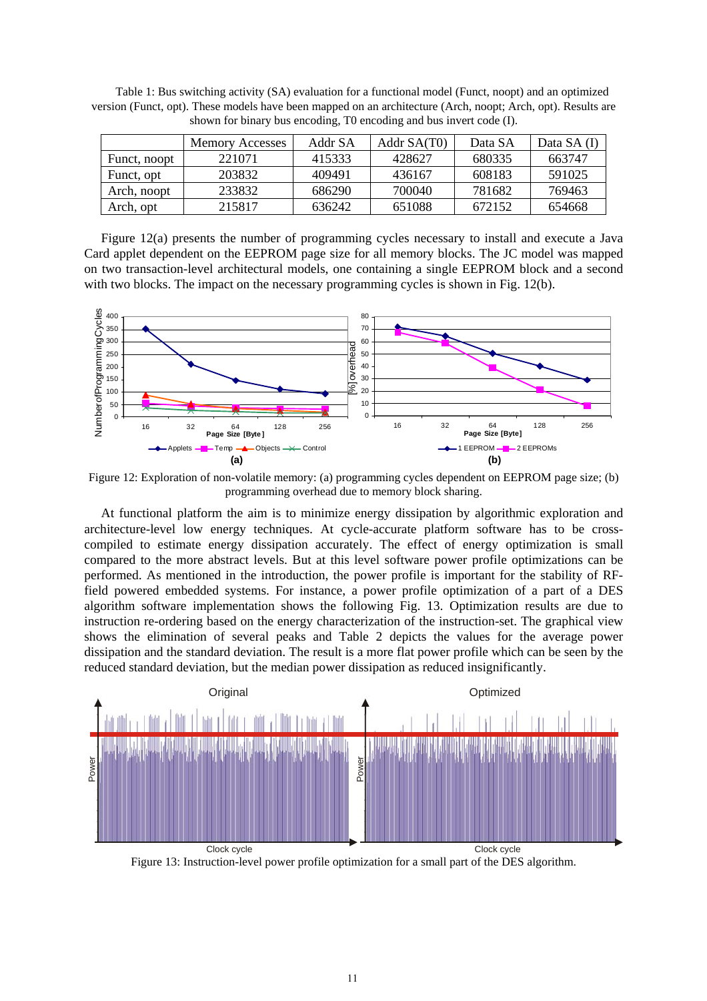|              | <b>Memory Accesses</b> | Addr SA | Addr SA(T0) | Data SA | Data SA (I) |
|--------------|------------------------|---------|-------------|---------|-------------|
| Funct, noopt | 221071                 | 415333  | 428627      | 680335  | 663747      |
| Funct, opt   | 203832                 | 409491  | 436167      | 608183  | 591025      |
| Arch, noopt  | 233832                 | 686290  | 700040      | 781682  | 769463      |
| Arch, opt    | 215817                 | 636242  | 651088      | 672152  | 654668      |

Table 1: Bus switching activity (SA) evaluation for a functional model (Funct, noopt) and an optimized version (Funct, opt). These models have been mapped on an architecture (Arch, noopt; Arch, opt). Results are shown for binary bus encoding, T0 encoding and bus invert code (I).

Figure 12(a) presents the number of programming cycles necessary to install and execute a Java Card applet dependent on the EEPROM page size for all memory blocks. The JC model was mapped on two transaction-level architectural models, one containing a single EEPROM block and a second with two blocks. The impact on the necessary programming cycles is shown in Fig. 12(b).



Figure 12: Exploration of non-volatile memory: (a) programming cycles dependent on EEPROM page size; (b) programming overhead due to memory block sharing.

At functional platform the aim is to minimize energy dissipation by algorithmic exploration and architecture-level low energy techniques. At cycle-accurate platform software has to be crosscompiled to estimate energy dissipation accurately. The effect of energy optimization is small compared to the more abstract levels. But at this level software power profile optimizations can be performed. As mentioned in the introduction, the power profile is important for the stability of RFfield powered embedded systems. For instance, a power profile optimization of a part of a DES algorithm software implementation shows the following Fig. 13. Optimization results are due to instruction re-ordering based on the energy characterization of the instruction-set. The graphical view shows the elimination of several peaks and Table 2 depicts the values for the average power dissipation and the standard deviation. The result is a more flat power profile which can be seen by the reduced standard deviation, but the median power dissipation as reduced insignificantly.



Figure 13: Instruction-level power profile optimization for a small part of the DES algorithm.